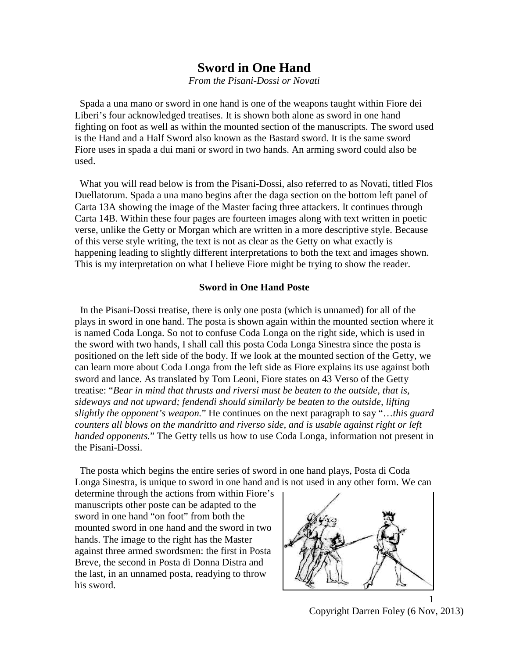# **Sword in One Hand**

*From the Pisani-Dossi or Novati*

 Spada a una mano or sword in one hand is one of the weapons taught within Fiore dei Liberi's four acknowledged treatises. It is shown both alone as sword in one hand fighting on foot as well as within the mounted section of the manuscripts. The sword used is the Hand and a Half Sword also known as the Bastard sword. It is the same sword Fiore uses in spada a dui mani or sword in two hands. An arming sword could also be used.

 What you will read below is from the Pisani-Dossi, also referred to as Novati, titled Flos Duellatorum. Spada a una mano begins after the daga section on the bottom left panel of Carta 13A showing the image of the Master facing three attackers. It continues through Carta 14B. Within these four pages are fourteen images along with text written in poetic verse, unlike the Getty or Morgan which are written in a more descriptive style. Because of this verse style writing, the text is not as clear as the Getty on what exactly is happening leading to slightly different interpretations to both the text and images shown. This is my interpretation on what I believe Fiore might be trying to show the reader.

## **Sword in One Hand Poste**

 In the Pisani-Dossi treatise, there is only one posta (which is unnamed) for all of the plays in sword in one hand. The posta is shown again within the mounted section where it is named Coda Longa. So not to confuse Coda Longa on the right side, which is used in the sword with two hands, I shall call this posta Coda Longa Sinestra since the posta is positioned on the left side of the body. If we look at the mounted section of the Getty, we can learn more about Coda Longa from the left side as Fiore explains its use against both sword and lance. As translated by Tom Leoni, Fiore states on 43 Verso of the Getty treatise: "*Bear in mind that thrusts and riversi must be beaten to the outside, that is, sideways and not upward; fendendi should similarly be beaten to the outside, lifting slightly the opponent's weapon.*" He continues on the next paragraph to say "…*this guard counters all blows on the mandritto and riverso side, and is usable against right or left handed opponents.*" The Getty tells us how to use Coda Longa, information not present in the Pisani-Dossi.

The posta which begins the entire series of sword in one hand plays, Posta di Coda Longa Sinestra, is unique to sword in one hand and is not used in any other form. We can

determine through the actions from within Fiore's manuscripts other poste can be adapted to the sword in one hand "on foot" from both the mounted sword in one hand and the sword in two hands. The image to the right has the Master against three armed swordsmen: the first in Posta Breve, the second in Posta di Donna Distra and the last, in an unnamed posta, readying to throw his sword.



Copyright Darren Foley (6 Nov, 2013)

1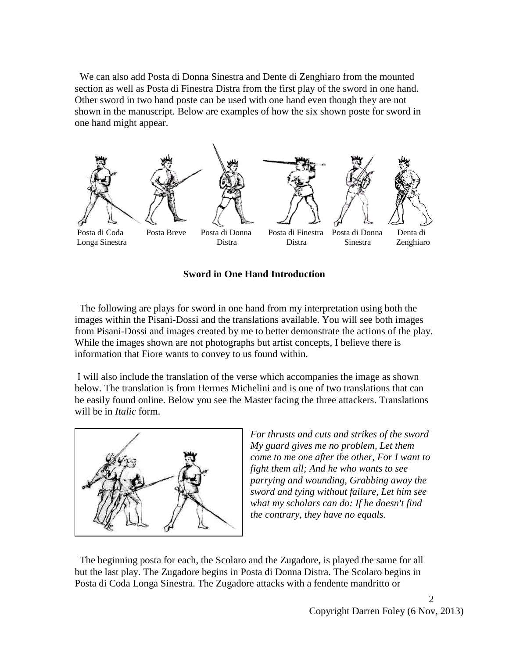We can also add Posta di Donna Sinestra and Dente di Zenghiaro from the mounted section as well as Posta di Finestra Distra from the first play of the sword in one hand. Other sword in two hand poste can be used with one hand even though they are not shown in the manuscript. Below are examples of how the six shown poste for sword in one hand might appear.



**Sword in One Hand Introduction**

 The following are plays for sword in one hand from my interpretation using both the images within the Pisani-Dossi and the translations available. You will see both images from Pisani-Dossi and images created by me to better demonstrate the actions of the play. While the images shown are not photographs but artist concepts, I believe there is information that Fiore wants to convey to us found within.

I will also include the translation of the verse which accompanies the image as shown below. The translation is from Hermes Michelini and is one of two translations that can be easily found online. Below you see the Master facing the three attackers. Translations will be in *Italic* form.



*For thrusts and cuts and strikes of the sword My guard gives me no problem, Let them come to me one after the other, For I want to fight them all; And he who wants to see parrying and wounding, Grabbing away the sword and tying without failure, Let him see what my scholars can do: If he doesn't find the contrary, they have no equals.*

 The beginning posta for each, the Scolaro and the Zugadore, is played the same for all but the last play. The Zugadore begins in Posta di Donna Distra. The Scolaro begins in Posta di Coda Longa Sinestra. The Zugadore attacks with a fendente mandritto or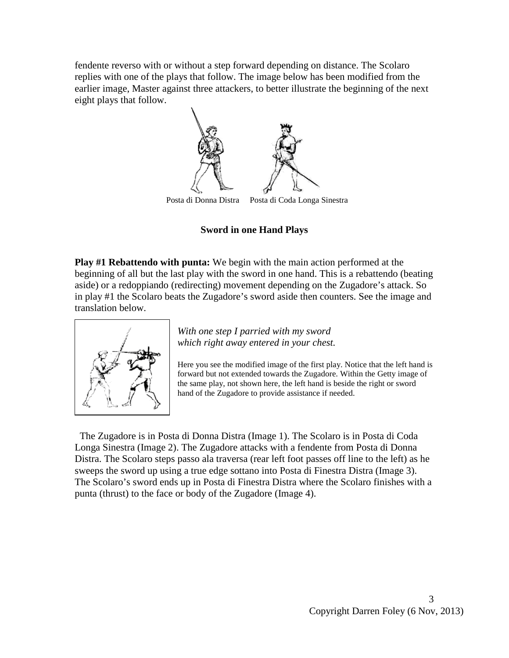fendente reverso with or without a step forward depending on distance. The Scolaro replies with one of the plays that follow. The image below has been modified from the earlier image, Master against three attackers, to better illustrate the beginning of the next eight plays that follow.



Posta di Donna Distra Posta di Coda Longa Sinestra

**Sword in one Hand Plays**

**Play #1 Rebattendo with punta:** We begin with the main action performed at the beginning of all but the last play with the sword in one hand. This is a rebattendo (beating aside) or a redoppiando (redirecting) movement depending on the Zugadore's attack. So in play #1 the Scolaro beats the Zugadore's sword aside then counters. See the image and translation below.



*With one step I parried with my sword which right away entered in your chest.*

Here you see the modified image of the first play. Notice that the left hand is forward but not extended towards the Zugadore. Within the Getty image of the same play, not shown here, the left hand is beside the right or sword hand of the Zugadore to provide assistance if needed.

 The Zugadore is in Posta di Donna Distra (Image 1). The Scolaro is in Posta di Coda Longa Sinestra (Image 2). The Zugadore attacks with a fendente from Posta di Donna Distra. The Scolaro steps passo ala traversa (rear left foot passes off line to the left) as he sweeps the sword up using a true edge sottano into Posta di Finestra Distra (Image 3). The Scolaro's sword ends up in Posta di Finestra Distra where the Scolaro finishes with a punta (thrust) to the face or body of the Zugadore (Image 4).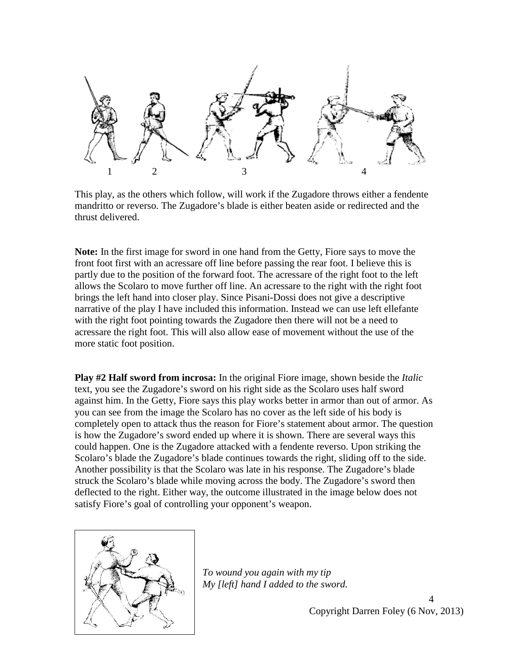

This play, as the others which follow, will work if the Zugadore throws either a fendente mandritto or reverso. The Zugadore's blade is either beaten aside or redirected and the thrust delivered.

**Note:** In the first image for sword in one hand from the Getty, Fiore says to move the front foot first with an acressare off line before passing the rear foot. I believe this is partly due to the position of the forward foot. The acressare of the right foot to the left allows the Scolaro to move further off line. An acressare to the right with the right foot brings the left hand into closer play. Since Pisani-Dossi does not give a descriptive narrative of the play I have included this information. Instead we can use left ellefante with the right foot pointing towards the Zugadore then there will not be a need to acressare the right foot. This will also allow ease of movement without the use of the more static foot position.

**Play #2 Half sword from incrosa:** In the original Fiore image, shown beside the *Italic* text, you see the Zugadore's sword on his right side as the Scolaro uses half sword against him. In the Getty, Fiore says this play works better in armor than out of armor. As you can see from the image the Scolaro has no cover as the left side of his body is completely open to attack thus the reason for Fiore's statement about armor. The question is how the Zugadore's sword ended up where it is shown. There are several ways this could happen. One is the Zugadore attacked with a fendente reverso. Upon striking the Scolaro's blade the Zugadore's blade continues towards the right, sliding off to the side. Another possibility is that the Scolaro was late in his response. The Zugadore's blade struck the Scolaro's blade while moving across the body. The Zugadore's sword then deflected to the right. Either way, the outcome illustrated in the image below does not satisfy Fiore's goal of controlling your opponent's weapon.



*To wound you again with my tip My [left] hand I added to the sword.*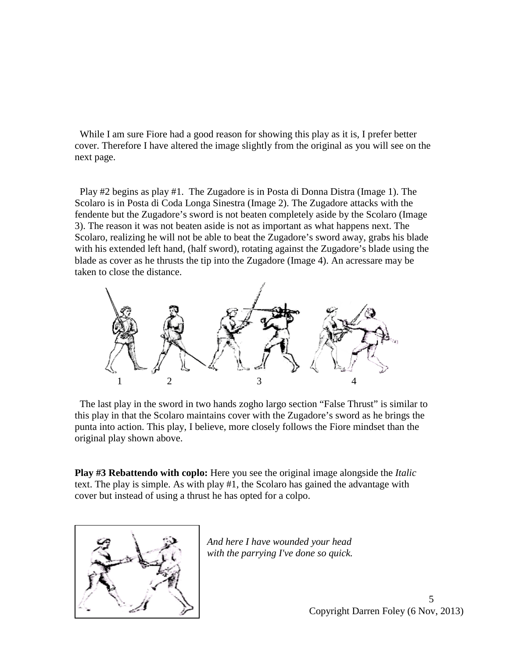While I am sure Fiore had a good reason for showing this play as it is, I prefer better cover. Therefore I have altered the image slightly from the original as you will see on the next page.

 Play #2 begins as play #1. The Zugadore is in Posta di Donna Distra (Image 1). The Scolaro is in Posta di Coda Longa Sinestra (Image 2). The Zugadore attacks with the fendente but the Zugadore's sword is not beaten completely aside by the Scolaro (Image 3). The reason it was not beaten aside is not as important as what happens next. The Scolaro, realizing he will not be able to beat the Zugadore's sword away, grabs his blade with his extended left hand, (half sword), rotating against the Zugadore's blade using the blade as cover as he thrusts the tip into the Zugadore (Image 4). An acressare may be taken to close the distance.



 The last play in the sword in two hands zogho largo section "False Thrust" is similar to this play in that the Scolaro maintains cover with the Zugadore's sword as he brings the punta into action. This play, I believe, more closely follows the Fiore mindset than the original play shown above.

**Play #3 Rebattendo with coplo:** Here you see the original image alongside the *Italic* text. The play is simple. As with play #1, the Scolaro has gained the advantage with cover but instead of using a thrust he has opted for a colpo.



*And here I have wounded your head with the parrying I've done so quick.*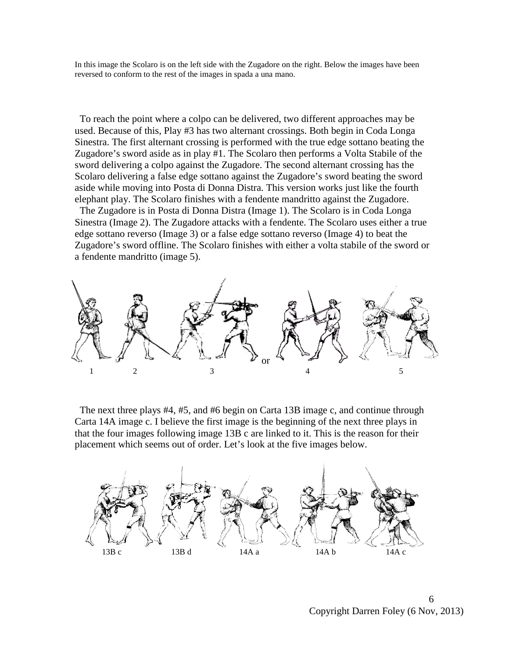In this image the Scolaro is on the left side with the Zugadore on the right. Below the images have been reversed to conform to the rest of the images in spada a una mano.

 To reach the point where a colpo can be delivered, two different approaches may be used. Because of this, Play #3 has two alternant crossings. Both begin in Coda Longa Sinestra. The first alternant crossing is performed with the true edge sottano beating the Zugadore's sword aside as in play #1. The Scolaro then performs a Volta Stabile of the sword delivering a colpo against the Zugadore. The second alternant crossing has the Scolaro delivering a false edge sottano against the Zugadore's sword beating the sword aside while moving into Posta di Donna Distra. This version works just like the fourth elephant play. The Scolaro finishes with a fendente mandritto against the Zugadore.

The Zugadore is in Posta di Donna Distra (Image 1). The Scolaro is in Coda Longa Sinestra (Image 2). The Zugadore attacks with a fendente. The Scolaro uses either a true edge sottano reverso (Image 3) or a false edge sottano reverso (Image 4) to beat the Zugadore's sword offline. The Scolaro finishes with either a volta stabile of the sword or a fendente mandritto (image 5).



 The next three plays #4, #5, and #6 begin on Carta 13B image c, and continue through Carta 14A image c. I believe the first image is the beginning of the next three plays in that the four images following image 13B c are linked to it. This is the reason for their placement which seems out of order. Let's look at the five images below.

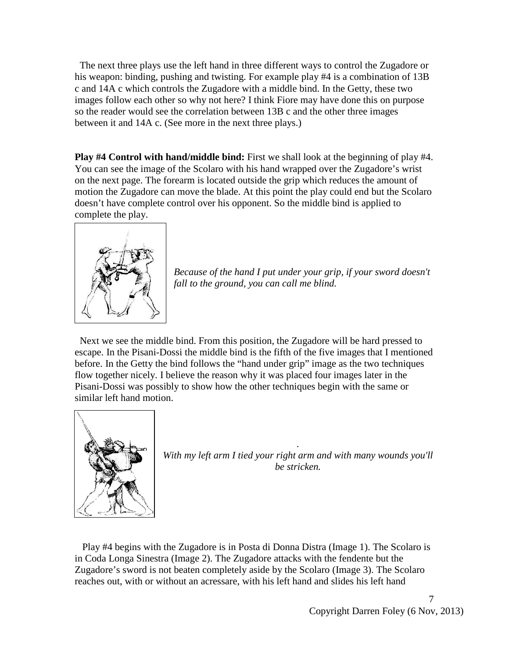The next three plays use the left hand in three different ways to control the Zugadore or his weapon: binding, pushing and twisting. For example play #4 is a combination of 13B c and 14A c which controls the Zugadore with a middle bind. In the Getty, these two images follow each other so why not here? I think Fiore may have done this on purpose so the reader would see the correlation between 13B c and the other three images between it and 14A c. (See more in the next three plays.)

**Play #4 Control with hand/middle bind:** First we shall look at the beginning of play #4. You can see the image of the Scolaro with his hand wrapped over the Zugadore's wrist on the next page. The forearm is located outside the grip which reduces the amount of motion the Zugadore can move the blade. At this point the play could end but the Scolaro doesn't have complete control over his opponent. So the middle bind is applied to complete the play.



*Because of the hand I put under your grip, if your sword doesn't fall to the ground, you can call me blind.* 

 Next we see the middle bind. From this position, the Zugadore will be hard pressed to escape. In the Pisani-Dossi the middle bind is the fifth of the five images that I mentioned before. In the Getty the bind follows the "hand under grip" image as the two techniques flow together nicely. I believe the reason why it was placed four images later in the Pisani-Dossi was possibly to show how the other techniques begin with the same or similar left hand motion.



*With my left arm I tied your right arm and with many wounds you'll be stricken.*

*.* 

 Play #4 begins with the Zugadore is in Posta di Donna Distra (Image 1). The Scolaro is in Coda Longa Sinestra (Image 2). The Zugadore attacks with the fendente but the Zugadore's sword is not beaten completely aside by the Scolaro (Image 3). The Scolaro reaches out, with or without an acressare, with his left hand and slides his left hand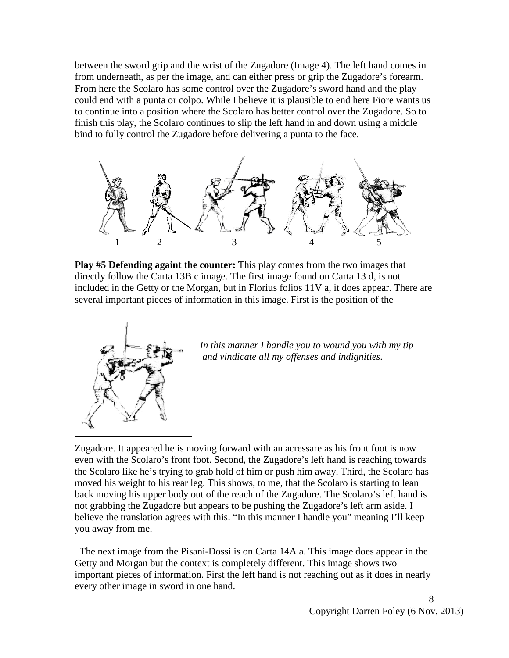between the sword grip and the wrist of the Zugadore (Image 4). The left hand comes in from underneath, as per the image, and can either press or grip the Zugadore's forearm. From here the Scolaro has some control over the Zugadore's sword hand and the play could end with a punta or colpo. While I believe it is plausible to end here Fiore wants us to continue into a position where the Scolaro has better control over the Zugadore. So to finish this play, the Scolaro continues to slip the left hand in and down using a middle bind to fully control the Zugadore before delivering a punta to the face.



**Play #5 Defending againt the counter:** This play comes from the two images that directly follow the Carta 13B c image. The first image found on Carta 13 d, is not included in the Getty or the Morgan, but in Florius folios 11V a, it does appear. There are several important pieces of information in this image. First is the position of the



*In this manner I handle you to wound you with my tip and vindicate all my offenses and indignities.* 

Zugadore. It appeared he is moving forward with an acressare as his front foot is now even with the Scolaro's front foot. Second, the Zugadore's left hand is reaching towards the Scolaro like he's trying to grab hold of him or push him away. Third, the Scolaro has moved his weight to his rear leg. This shows, to me, that the Scolaro is starting to lean back moving his upper body out of the reach of the Zugadore. The Scolaro's left hand is not grabbing the Zugadore but appears to be pushing the Zugadore's left arm aside. I believe the translation agrees with this. "In this manner I handle you" meaning I'll keep you away from me.

 The next image from the Pisani-Dossi is on Carta 14A a. This image does appear in the Getty and Morgan but the context is completely different. This image shows two important pieces of information. First the left hand is not reaching out as it does in nearly every other image in sword in one hand.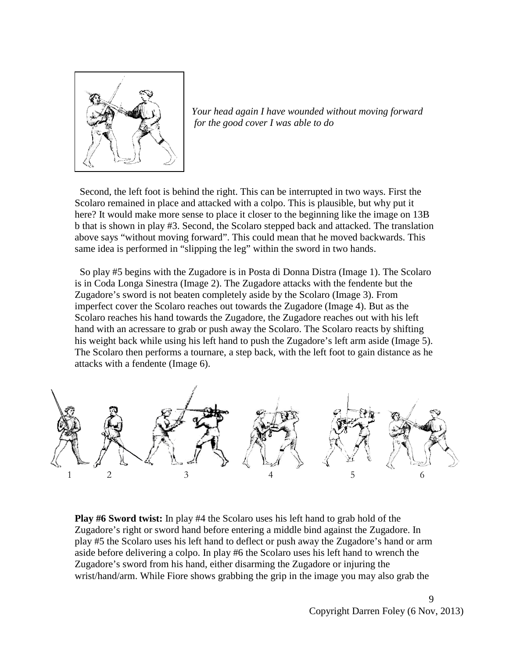

*Your head again I have wounded without moving forward for the good cover I was able to do*

 Second, the left foot is behind the right. This can be interrupted in two ways. First the Scolaro remained in place and attacked with a colpo. This is plausible, but why put it here? It would make more sense to place it closer to the beginning like the image on 13B b that is shown in play #3. Second, the Scolaro stepped back and attacked. The translation above says "without moving forward". This could mean that he moved backwards. This same idea is performed in "slipping the leg" within the sword in two hands.

 So play #5 begins with the Zugadore is in Posta di Donna Distra (Image 1). The Scolaro is in Coda Longa Sinestra (Image 2). The Zugadore attacks with the fendente but the Zugadore's sword is not beaten completely aside by the Scolaro (Image 3). From imperfect cover the Scolaro reaches out towards the Zugadore (Image 4). But as the Scolaro reaches his hand towards the Zugadore, the Zugadore reaches out with his left hand with an acressare to grab or push away the Scolaro. The Scolaro reacts by shifting his weight back while using his left hand to push the Zugadore's left arm aside (Image 5). The Scolaro then performs a tournare, a step back, with the left foot to gain distance as he attacks with a fendente (Image 6).



**Play #6 Sword twist:** In play #4 the Scolaro uses his left hand to grab hold of the Zugadore's right or sword hand before entering a middle bind against the Zugadore. In play #5 the Scolaro uses his left hand to deflect or push away the Zugadore's hand or arm aside before delivering a colpo. In play #6 the Scolaro uses his left hand to wrench the Zugadore's sword from his hand, either disarming the Zugadore or injuring the wrist/hand/arm. While Fiore shows grabbing the grip in the image you may also grab the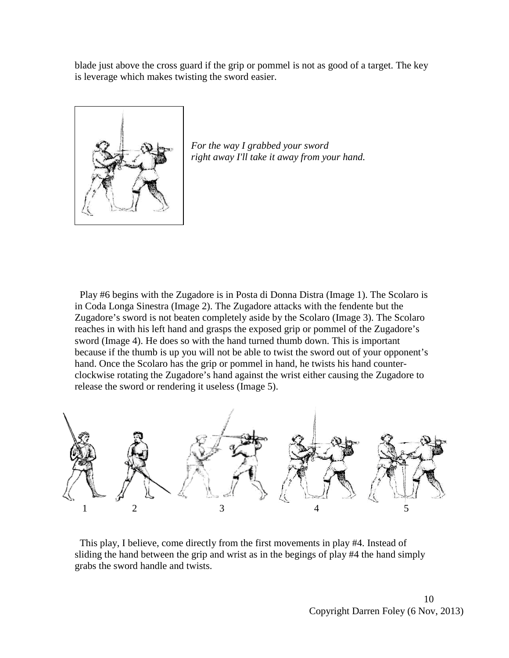blade just above the cross guard if the grip or pommel is not as good of a target. The key is leverage which makes twisting the sword easier.



*For the way I grabbed your sword right away I'll take it away from your hand.* 

 Play #6 begins with the Zugadore is in Posta di Donna Distra (Image 1). The Scolaro is in Coda Longa Sinestra (Image 2). The Zugadore attacks with the fendente but the Zugadore's sword is not beaten completely aside by the Scolaro (Image 3). The Scolaro reaches in with his left hand and grasps the exposed grip or pommel of the Zugadore's sword (Image 4). He does so with the hand turned thumb down. This is important because if the thumb is up you will not be able to twist the sword out of your opponent's hand. Once the Scolaro has the grip or pommel in hand, he twists his hand counterclockwise rotating the Zugadore's hand against the wrist either causing the Zugadore to release the sword or rendering it useless (Image 5).



 This play, I believe, come directly from the first movements in play #4. Instead of sliding the hand between the grip and wrist as in the begings of play #4 the hand simply grabs the sword handle and twists.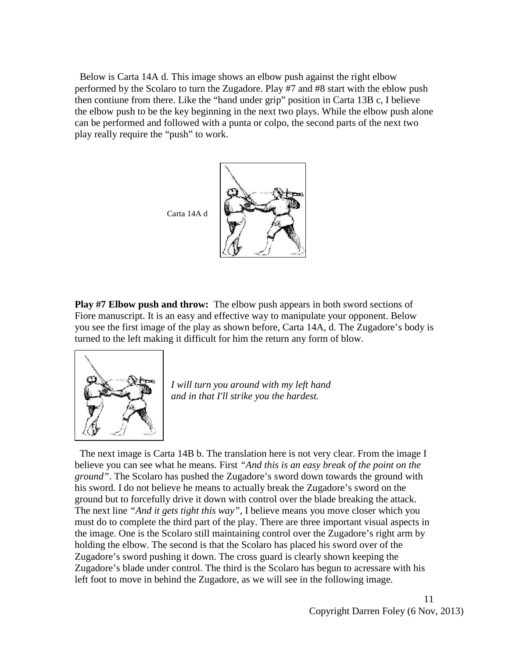Below is Carta 14A d. This image shows an elbow push against the right elbow performed by the Scolaro to turn the Zugadore. Play #7 and #8 start with the eblow push then contiune from there. Like the "hand under grip" position in Carta 13B c, I believe the elbow push to be the key beginning in the next two plays. While the elbow push alone can be performed and followed with a punta or colpo, the second parts of the next two play really require the "push" to work.



**Play #7 Elbow push and throw:** The elbow push appears in both sword sections of Fiore manuscript. It is an easy and effective way to manipulate your opponent. Below you see the first image of the play as shown before, Carta 14A, d. The Zugadore's body is turned to the left making it difficult for him the return any form of blow.



*I will turn you around with my left hand and in that I'll strike you the hardest.*

 The next image is Carta 14B b. The translation here is not very clear. From the image I believe you can see what he means. First *"And this is an easy break of the point on the ground"*. The Scolaro has pushed the Zugadore's sword down towards the ground with his sword. I do not believe he means to actually break the Zugadore's sword on the ground but to forcefully drive it down with control over the blade breaking the attack. The next line *"And it gets tight this way"*, I believe means you move closer which you must do to complete the third part of the play. There are three important visual aspects in the image. One is the Scolaro still maintaining control over the Zugadore's right arm by holding the elbow. The second is that the Scolaro has placed his sword over of the Zugadore's sword pushing it down. The cross guard is clearly shown keeping the Zugadore's blade under control. The third is the Scolaro has begun to acressare with his left foot to move in behind the Zugadore, as we will see in the following image.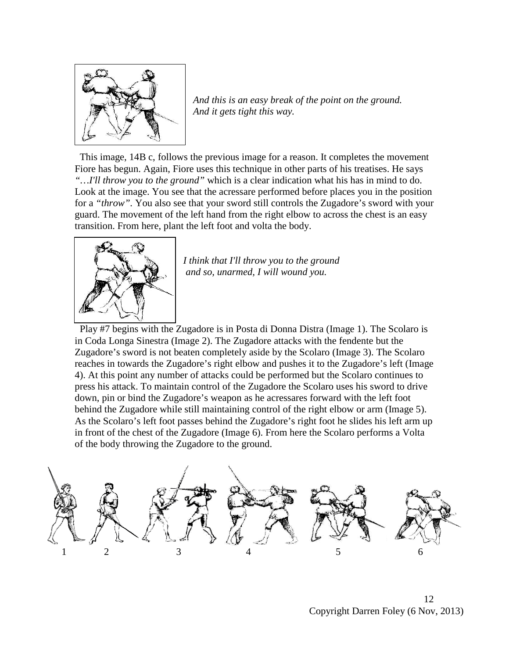

*And this is an easy break of the point on the ground. And it gets tight this way.* 

 This image, 14B c, follows the previous image for a reason. It completes the movement Fiore has begun. Again, Fiore uses this technique in other parts of his treatises. He says *"…I'll throw you to the ground"* which is a clear indication what his has in mind to do. Look at the image. You see that the acressare performed before places you in the position for a *"throw".* You also see that your sword still controls the Zugadore's sword with your guard. The movement of the left hand from the right elbow to across the chest is an easy transition. From here, plant the left foot and volta the body.



*I think that I'll throw you to the ground and so, unarmed, I will wound you.*

 Play #7 begins with the Zugadore is in Posta di Donna Distra (Image 1). The Scolaro is in Coda Longa Sinestra (Image 2). The Zugadore attacks with the fendente but the Zugadore's sword is not beaten completely aside by the Scolaro (Image 3). The Scolaro reaches in towards the Zugadore's right elbow and pushes it to the Zugadore's left (Image 4). At this point any number of attacks could be performed but the Scolaro continues to press his attack. To maintain control of the Zugadore the Scolaro uses his sword to drive down, pin or bind the Zugadore's weapon as he acressares forward with the left foot behind the Zugadore while still maintaining control of the right elbow or arm (Image 5). As the Scolaro's left foot passes behind the Zugadore's right foot he slides his left arm up in front of the chest of the Zugadore (Image 6). From here the Scolaro performs a Volta of the body throwing the Zugadore to the ground.



<sup>12</sup> Copyright Darren Foley (6 Nov, 2013)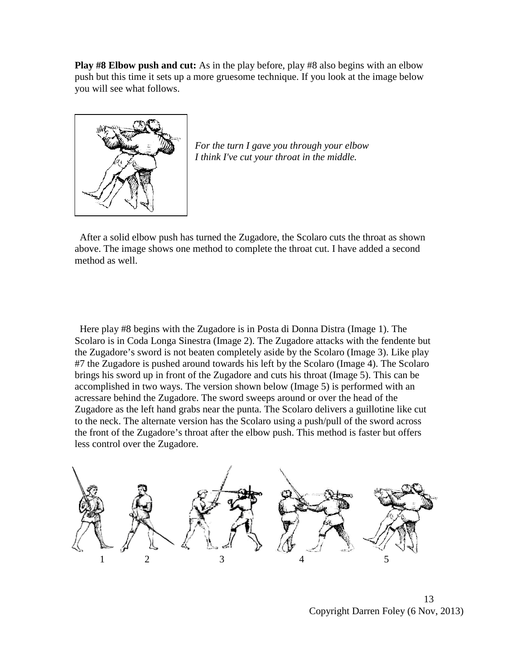**Play #8 Elbow push and cut:** As in the play before, play #8 also begins with an elbow push but this time it sets up a more gruesome technique. If you look at the image below you will see what follows.



*For the turn I gave you through your elbow I think I've cut your throat in the middle.*

 After a solid elbow push has turned the Zugadore, the Scolaro cuts the throat as shown above. The image shows one method to complete the throat cut. I have added a second method as well.

 Here play #8 begins with the Zugadore is in Posta di Donna Distra (Image 1). The Scolaro is in Coda Longa Sinestra (Image 2). The Zugadore attacks with the fendente but the Zugadore's sword is not beaten completely aside by the Scolaro (Image 3). Like play #7 the Zugadore is pushed around towards his left by the Scolaro (Image 4). The Scolaro brings his sword up in front of the Zugadore and cuts his throat (Image 5). This can be accomplished in two ways. The version shown below (Image 5) is performed with an acressare behind the Zugadore. The sword sweeps around or over the head of the Zugadore as the left hand grabs near the punta. The Scolaro delivers a guillotine like cut to the neck. The alternate version has the Scolaro using a push/pull of the sword across the front of the Zugadore's throat after the elbow push. This method is faster but offers less control over the Zugadore.



13 Copyright Darren Foley (6 Nov, 2013)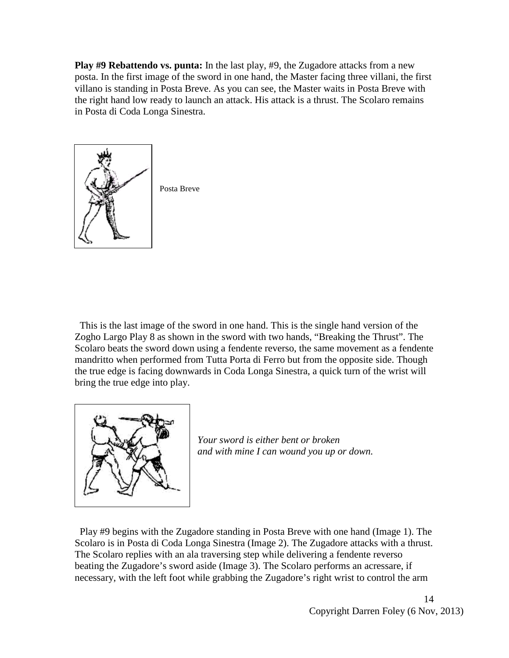**Play #9 Rebattendo vs. punta:** In the last play, #9, the Zugadore attacks from a new posta. In the first image of the sword in one hand, the Master facing three villani, the first villano is standing in Posta Breve. As you can see, the Master waits in Posta Breve with the right hand low ready to launch an attack. His attack is a thrust. The Scolaro remains in Posta di Coda Longa Sinestra.



 This is the last image of the sword in one hand. This is the single hand version of the Zogho Largo Play 8 as shown in the sword with two hands, "Breaking the Thrust". The Scolaro beats the sword down using a fendente reverso, the same movement as a fendente mandritto when performed from Tutta Porta di Ferro but from the opposite side. Though the true edge is facing downwards in Coda Longa Sinestra, a quick turn of the wrist will bring the true edge into play.



*Your sword is either bent or broken and with mine I can wound you up or down.*

 Play #9 begins with the Zugadore standing in Posta Breve with one hand (Image 1). The Scolaro is in Posta di Coda Longa Sinestra (Image 2). The Zugadore attacks with a thrust. The Scolaro replies with an ala traversing step while delivering a fendente reverso beating the Zugadore's sword aside (Image 3). The Scolaro performs an acressare, if necessary, with the left foot while grabbing the Zugadore's right wrist to control the arm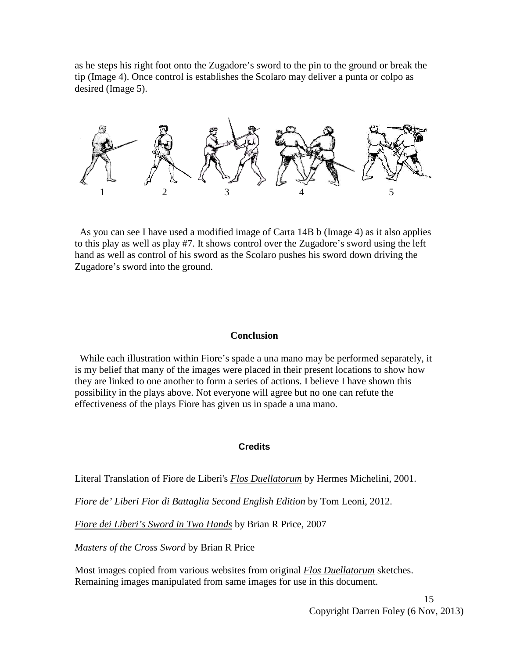as he steps his right foot onto the Zugadore's sword to the pin to the ground or break the tip (Image 4). Once control is establishes the Scolaro may deliver a punta or colpo as desired (Image 5).



 As you can see I have used a modified image of Carta 14B b (Image 4) as it also applies to this play as well as play #7. It shows control over the Zugadore's sword using the left hand as well as control of his sword as the Scolaro pushes his sword down driving the Zugadore's sword into the ground.

### **Conclusion**

 While each illustration within Fiore's spade a una mano may be performed separately, it is my belief that many of the images were placed in their present locations to show how they are linked to one another to form a series of actions. I believe I have shown this possibility in the plays above. Not everyone will agree but no one can refute the effectiveness of the plays Fiore has given us in spade a una mano.

#### **Credits**

Literal Translation of Fiore de Liberi's *Flos Duellatorum* by Hermes Michelini, 2001.

*Fiore de' Liberi Fior di Battaglia Second English Edition* by Tom Leoni, 2012.

*Fiore dei Liberi's Sword in Two Hands* by Brian R Price, 2007

*Masters of the Cross Sword* by Brian R Price

Most images copied from various websites from original *Flos Duellatorum* sketches. Remaining images manipulated from same images for use in this document.